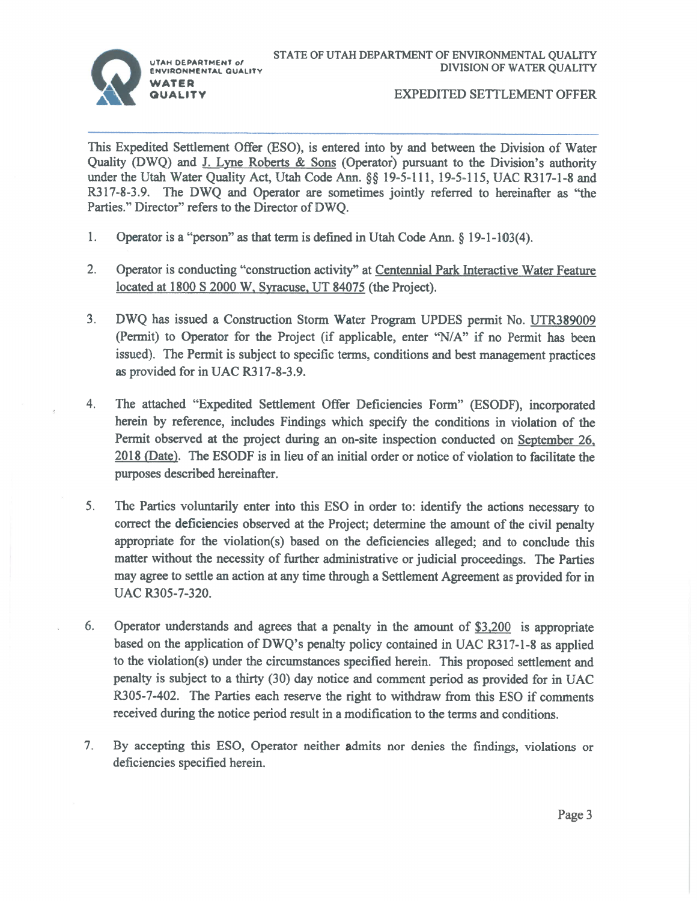

#### **EXPEDITED SETTLEMENT OFFER**

This Expedited Settlement Offer (ESO), is entered into by and between the Division of Water Quality (DWQ) and J. Lyne Roberts & Sons (Operator) pursuant to the Division's authority under the Utah Water Quality Act, Utah Code Ann. §§ 19-5-111, 19-5-115, UAC R317-1-8 and R317-8-3.9. The DWQ and Operator are sometimes jointly referred to hereinafter as "the Parties." Director" refers to the Director of DWQ.

- 1. Operator is a "person" as that term is defined in Utah Code Ann. § 19-1-103(4).
- $2.$ Operator is conducting "construction activity" at Centennial Park Interactive Water Feature located at 1800 S 2000 W, Syracuse, UT 84075 (the Project).
- $3<sub>1</sub>$ DWQ has issued a Construction Storm Water Program UPDES permit No. UTR389009 (Permit) to Operator for the Project (if applicable, enter "N/A" if no Permit has been issued). The Permit is subject to specific terms, conditions and best management practices as provided for in UAC R317-8-3.9.
- 4. The attached "Expedited Settlement Offer Deficiencies Form" (ESODF), incorporated herein by reference, includes Findings which specify the conditions in violation of the Permit observed at the project during an on-site inspection conducted on September 26, 2018 (Date). The ESODF is in lieu of an initial order or notice of violation to facilitate the purposes described hereinafter.
- 5. The Parties voluntarily enter into this ESO in order to: identify the actions necessary to correct the deficiencies observed at the Project; determine the amount of the civil penalty appropriate for the violation(s) based on the deficiencies alleged; and to conclude this matter without the necessity of further administrative or judicial proceedings. The Parties may agree to settle an action at any time through a Settlement Agreement as provided for in UAC R305-7-320.
- Operator understands and agrees that a penalty in the amount of  $$3,200$  is appropriate 6. based on the application of DWQ's penalty policy contained in UAC R317-1-8 as applied to the violation(s) under the circumstances specified herein. This proposed settlement and penalty is subject to a thirty (30) day notice and comment period as provided for in UAC R305-7-402. The Parties each reserve the right to withdraw from this ESO if comments received during the notice period result in a modification to the terms and conditions.
- $7<sub>1</sub>$ By accepting this ESO, Operator neither admits nor denies the findings, violations or deficiencies specified herein.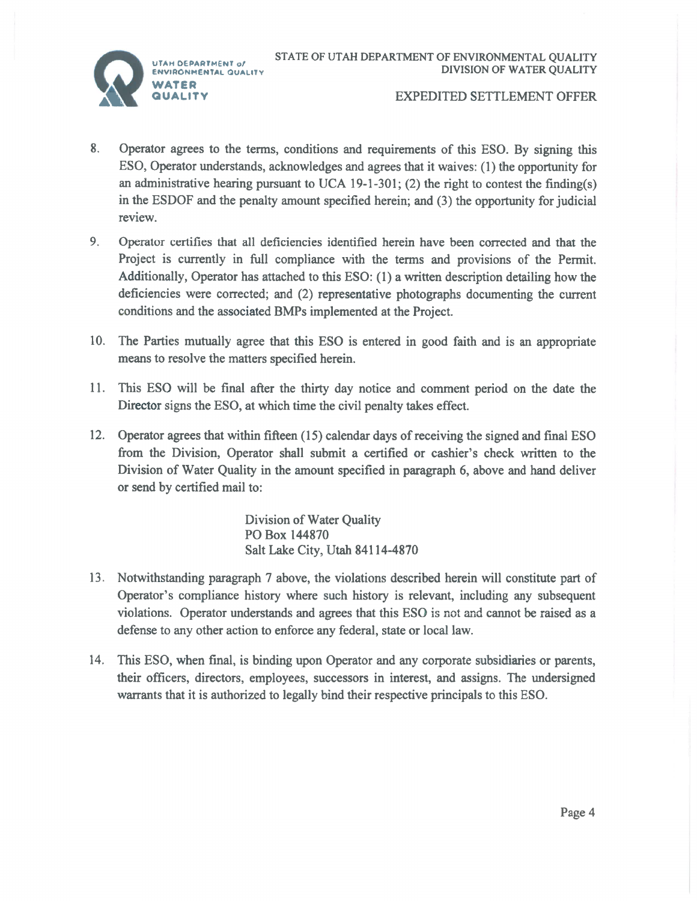UTAH DEPARTMENT of



### **EXPEDITED SETTLEMENT OFFER**

- $8<sub>1</sub>$ Operator agrees to the terms, conditions and requirements of this ESO. By signing this ESO, Operator understands, acknowledges and agrees that it waives: (1) the opportunity for an administrative hearing pursuant to UCA 19-1-301; (2) the right to contest the finding(s) in the ESDOF and the penalty amount specified herein; and (3) the opportunity for judicial review.
- $9<sub>1</sub>$ Operator certifies that all deficiencies identified herein have been corrected and that the Project is currently in full compliance with the terms and provisions of the Permit. Additionally, Operator has attached to this ESO: (1) a written description detailing how the deficiencies were corrected; and (2) representative photographs documenting the current conditions and the associated BMPs implemented at the Project.
- 10. The Parties mutually agree that this ESO is entered in good faith and is an appropriate means to resolve the matters specified herein.
- 11. This ESO will be final after the thirty day notice and comment period on the date the Director signs the ESO, at which time the civil penalty takes effect.
- 12. Operator agrees that within fifteen (15) calendar days of receiving the signed and final ESO from the Division, Operator shall submit a certified or cashier's check written to the Division of Water Quality in the amount specified in paragraph 6, above and hand deliver or send by certified mail to:

Division of Water Quality PO Box 144870 Salt Lake City, Utah 84114-4870

- 13. Notwithstanding paragraph 7 above, the violations described herein will constitute part of Operator's compliance history where such history is relevant, including any subsequent violations. Operator understands and agrees that this ESO is not and cannot be raised as a defense to any other action to enforce any federal, state or local law.
- 14. This ESO, when final, is binding upon Operator and any corporate subsidiaries or parents, their officers, directors, employees, successors in interest, and assigns. The undersigned warrants that it is authorized to legally bind their respective principals to this ESO.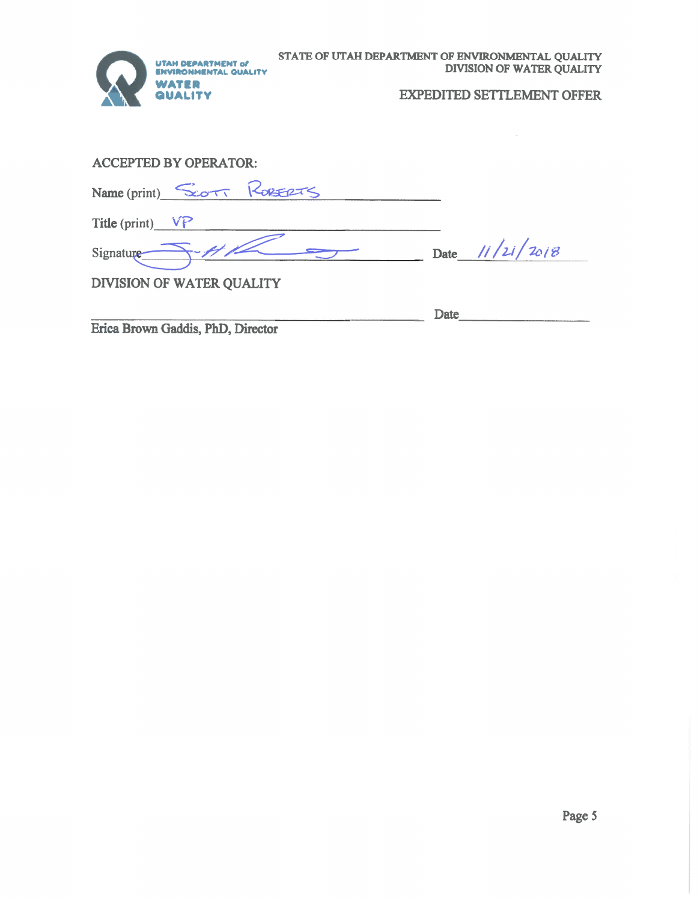

# **EXPEDITED SETTLEMENT OFFER**

## **ACCEPTED BY OPERATOR:**

|                    | Name (print) SCOTT ROBERTS |                   |
|--------------------|----------------------------|-------------------|
| Title (print) $VP$ |                            |                   |
| Signature          |                            | Date $11/21/2018$ |
|                    |                            |                   |

DIVISION OF WATER QUALITY

Erica Brown Gaddis, PhD, Director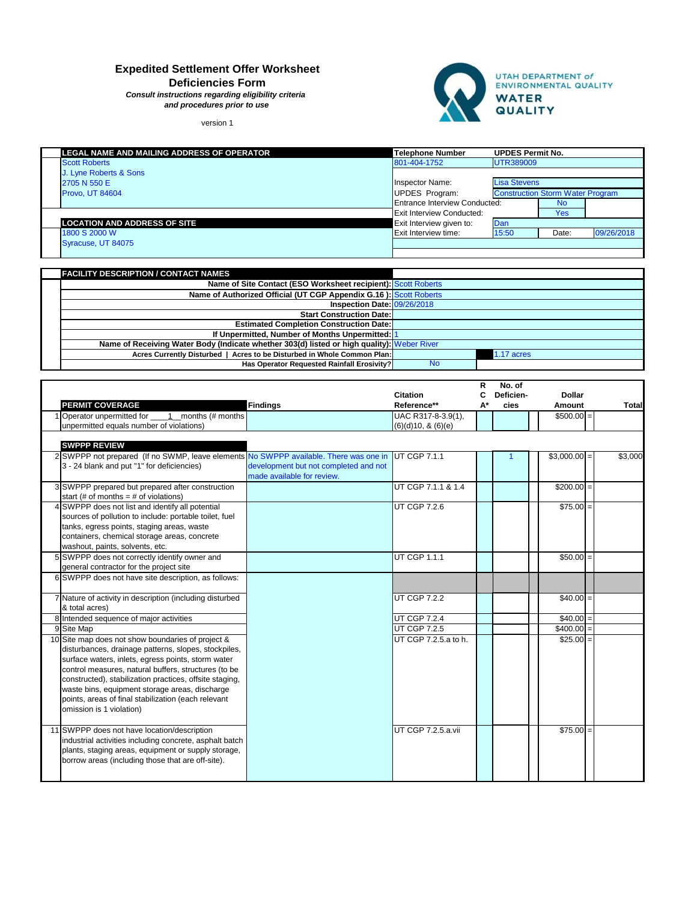|                                                                                                                                                                                                                                                                                                                                                                                                                         |                                                                     | <b>Citation</b>                         | R<br>C | No. of<br>Deficien- | <b>Dollar</b> |              |
|-------------------------------------------------------------------------------------------------------------------------------------------------------------------------------------------------------------------------------------------------------------------------------------------------------------------------------------------------------------------------------------------------------------------------|---------------------------------------------------------------------|-----------------------------------------|--------|---------------------|---------------|--------------|
| <b>PERMIT COVERAGE</b>                                                                                                                                                                                                                                                                                                                                                                                                  | <b>Findings</b>                                                     | Reference**                             | $A^*$  | cies                | <b>Amount</b> | <b>Total</b> |
| 1 Operator unpermitted for _____1__months (# months<br>unpermitted equals number of violations)                                                                                                                                                                                                                                                                                                                         |                                                                     | UAC R317-8-3.9(1),<br>(6)(d)10, 8(6)(e) |        |                     | $$500.00 =$   |              |
| <b>SWPPP REVIEW</b>                                                                                                                                                                                                                                                                                                                                                                                                     |                                                                     |                                         |        |                     |               |              |
| 2 SWPPP not prepared (If no SWMP, leave elements No SWPPP available. There was one in<br>3 - 24 blank and put "1" for deficiencies)                                                                                                                                                                                                                                                                                     | development but not completed and not<br>made available for review. | UT CGP 7.1.1                            |        |                     | $$3,000.00$ = | \$3,000      |
| 3 SWPPP prepared but prepared after construction<br>start (# of months = # of violations)                                                                                                                                                                                                                                                                                                                               |                                                                     | UT CGP 7.1.1 & 1.4                      |        |                     | $$200.00 =$   |              |
| 4 SWPPP does not list and identify all potential<br>sources of pollution to include: portable toilet, fuel<br>tanks, egress points, staging areas, waste<br>containers, chemical storage areas, concrete<br>washout, paints, solvents, etc.                                                                                                                                                                             |                                                                     | <b>UT CGP 7.2.6</b>                     |        |                     | $$75.00$ =    |              |
| 5 SWPPP does not correctly identify owner and<br>general contractor for the project site                                                                                                                                                                                                                                                                                                                                |                                                                     | UT CGP 1.1.1                            |        |                     | $$50.00$ =    |              |
| 6 SWPPP does not have site description, as follows:                                                                                                                                                                                                                                                                                                                                                                     |                                                                     |                                         |        |                     |               |              |
| 7 Nature of activity in description (including disturbed<br>& total acres)                                                                                                                                                                                                                                                                                                                                              |                                                                     | UT CGP 7.2.2                            |        |                     | $$40.00$ =    |              |
| 8 Intended sequence of major activities                                                                                                                                                                                                                                                                                                                                                                                 |                                                                     | UT CGP 7.2.4                            |        |                     | $$40.00$ =    |              |
| 9 Site Map                                                                                                                                                                                                                                                                                                                                                                                                              |                                                                     | UT CGP 7.2.5                            |        |                     | $$400.00 =$   |              |
| 10 Site map does not show boundaries of project &<br>disturbances, drainage patterns, slopes, stockpiles,<br>surface waters, inlets, egress points, storm water<br>control measures, natural buffers, structures (to be<br>constructed), stabilization practices, offsite staging,<br>waste bins, equipment storage areas, discharge<br>points, areas of final stabilization (each relevant<br>omission is 1 violation) |                                                                     | UT CGP 7.2.5.a to h.                    |        |                     | $$25.00$ =    |              |

| LEGAL NAME AND MAILING ADDRESS OF OPERATOR | <b>Telephone Number</b>          | <b>UPDES Permit No.</b>                                        |           |            |
|--------------------------------------------|----------------------------------|----------------------------------------------------------------|-----------|------------|
| <b>Scott Roberts</b>                       | 801-404-1752                     | UTR389009                                                      |           |            |
| J. Lyne Roberts & Sons                     |                                  |                                                                |           |            |
| 2705 N 550 E                               | Inspector Name:                  | <b>Lisa Stevens</b><br><b>Construction Storm Water Program</b> |           |            |
| Provo, UT 84604                            | <b>UPDES Program:</b>            |                                                                |           |            |
|                                            | Entrance Interview Conducted:    |                                                                | <b>No</b> |            |
|                                            | <b>Exit Interview Conducted:</b> |                                                                | Yes       |            |
| <b>LOCATION AND ADDRESS OF SITE</b>        | Exit Interview given to:         | Dan                                                            |           |            |
| 1800 S 2000 W                              | <b>Exit Interview time:</b>      | 15:50                                                          | Date:     | 09/26/2018 |
| Syracuse, UT 84075                         |                                  |                                                                |           |            |
|                                            |                                  |                                                                |           |            |

| <b>FACILITY DESCRIPTION / CONTACT NAMES</b>                                                |           |            |  |  |
|--------------------------------------------------------------------------------------------|-----------|------------|--|--|
| Name of Site Contact (ESO Worksheet recipient): Scott Roberts                              |           |            |  |  |
| Name of Authorized Official (UT CGP Appendix G.16): Scott Roberts                          |           |            |  |  |
| Inspection Date: 09/26/2018                                                                |           |            |  |  |
| <b>Start Construction Date:</b>                                                            |           |            |  |  |
| <b>Estimated Completion Construction Date:</b>                                             |           |            |  |  |
| If Unpermitted, Number of Months Unpermitted: 1                                            |           |            |  |  |
| Name of Receiving Water Body (Indicate whether 303(d) listed or high quality): Weber River |           |            |  |  |
| Acres Currently Disturbed   Acres to be Disturbed in Whole Common Plan:                    |           | 1.17 acres |  |  |
| Has Operator Requested Rainfall Erosivity?                                                 | <b>No</b> |            |  |  |

| 11 SWPPP does not have location/description             | UT CGP 7.2.5.a.vii |  | $$75.00$ = |  |
|---------------------------------------------------------|--------------------|--|------------|--|
| industrial activities including concrete, asphalt batch |                    |  |            |  |
| plants, staging areas, equipment or supply storage,     |                    |  |            |  |
| borrow areas (including those that are off-site).       |                    |  |            |  |
|                                                         |                    |  |            |  |
|                                                         |                    |  |            |  |

# **Expedited Settlement Offer Worksheet**

**Deficiencies Form**

*Consult instructions regarding eligibility criteria and procedures prior to use*

version 1

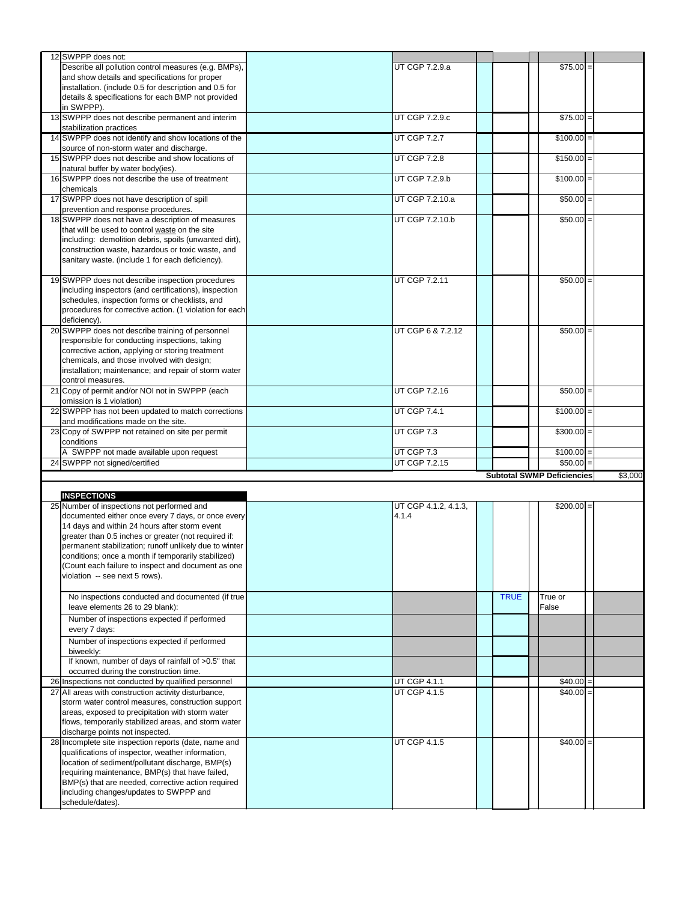| 12 SWPPP does not:                                         |                      |             |                                   |         |
|------------------------------------------------------------|----------------------|-------------|-----------------------------------|---------|
| Describe all pollution control measures (e.g. BMPs),       | UT CGP 7.2.9.a       |             | $$75.00$ =                        |         |
| and show details and specifications for proper             |                      |             |                                   |         |
| installation. (include 0.5 for description and 0.5 for     |                      |             |                                   |         |
| details & specifications for each BMP not provided         |                      |             |                                   |         |
| in SWPPP).                                                 |                      |             |                                   |         |
| 13 SWPPP does not describe permanent and interim           | UT CGP 7.2.9.c       |             | $$75.00$ =                        |         |
| stabilization practices                                    |                      |             |                                   |         |
| 14 SWPPP does not identify and show locations of the       | UT CGP 7.2.7         |             | $$100.00 =$                       |         |
|                                                            |                      |             |                                   |         |
| source of non-storm water and discharge.                   |                      |             |                                   |         |
| 15 SWPPP does not describe and show locations of           | UT CGP 7.2.8         |             | $$150.00$ =                       |         |
| natural buffer by water body(ies).                         |                      |             |                                   |         |
| 16 SWPPP does not describe the use of treatment            | UT CGP 7.2.9.b       |             | $$100.00 =$                       |         |
| chemicals                                                  |                      |             |                                   |         |
| 17 SWPPP does not have description of spill                | UT CGP 7.2.10.a      |             | $$50.00] =$                       |         |
| prevention and response procedures.                        |                      |             |                                   |         |
| 18 SWPPP does not have a description of measures           | UT CGP 7.2.10.b      |             | $$50.00$ =                        |         |
| that will be used to control waste on the site             |                      |             |                                   |         |
| including: demolition debris, spoils (unwanted dirt),      |                      |             |                                   |         |
| construction waste, hazardous or toxic waste, and          |                      |             |                                   |         |
| sanitary waste. (include 1 for each deficiency).           |                      |             |                                   |         |
|                                                            |                      |             |                                   |         |
|                                                            |                      |             |                                   |         |
| 19 SWPPP does not describe inspection procedures           | UT CGP 7.2.11        |             | $$50.00$ =                        |         |
| including inspectors (and certifications), inspection      |                      |             |                                   |         |
| schedules, inspection forms or checklists, and             |                      |             |                                   |         |
| procedures for corrective action. (1 violation for each    |                      |             |                                   |         |
| deficiency).                                               |                      |             |                                   |         |
| 20 SWPPP does not describe training of personnel           | UT CGP 6 & 7.2.12    |             | $$50.00$ =                        |         |
| responsible for conducting inspections, taking             |                      |             |                                   |         |
| corrective action, applying or storing treatment           |                      |             |                                   |         |
| chemicals, and those involved with design;                 |                      |             |                                   |         |
| installation; maintenance; and repair of storm water       |                      |             |                                   |         |
| control measures.                                          |                      |             |                                   |         |
| 21 Copy of permit and/or NOI not in SWPPP (each            | UT CGP 7.2.16        |             | $$50.00$ =                        |         |
| omission is 1 violation)                                   |                      |             |                                   |         |
| 22 SWPPP has not been updated to match corrections         | UT CGP 7.4.1         |             | $$100.00$ =                       |         |
|                                                            |                      |             |                                   |         |
| and modifications made on the site.                        |                      |             |                                   |         |
|                                                            |                      |             |                                   |         |
| 23 Copy of SWPPP not retained on site per permit           | UT CGP 7.3           |             | $$300.00 =$                       |         |
| conditions                                                 |                      |             |                                   |         |
| A SWPPP not made available upon request                    | UT CGP 7.3           |             | $$100.00$ =                       |         |
| 24 SWPPP not signed/certified                              | UT CGP 7.2.15        |             | $$50.00$ =                        |         |
|                                                            |                      |             | <b>Subtotal SWMP Deficiencies</b> | \$3,000 |
|                                                            |                      |             |                                   |         |
| <b>INSPECTIONS</b>                                         |                      |             |                                   |         |
|                                                            |                      |             |                                   |         |
| 25 Number of inspections not performed and                 | UT CGP 4.1.2, 4.1.3, |             | $$200.00$ =                       |         |
| documented either once every 7 days, or once every         | 4.1.4                |             |                                   |         |
| 14 days and within 24 hours after storm event              |                      |             |                                   |         |
| greater than 0.5 inches or greater (not required if:       |                      |             |                                   |         |
| permanent stabilization; runoff unlikely due to winter     |                      |             |                                   |         |
| conditions; once a month if temporarily stabilized)        |                      |             |                                   |         |
| (Count each failure to inspect and document as one         |                      |             |                                   |         |
| violation -- see next 5 rows).                             |                      |             |                                   |         |
|                                                            |                      |             |                                   |         |
| No inspections conducted and documented (if true           |                      | <b>TRUE</b> | True or                           |         |
| leave elements 26 to 29 blank):                            |                      |             | False                             |         |
| Number of inspections expected if performed                |                      |             |                                   |         |
| every 7 days:                                              |                      |             |                                   |         |
|                                                            |                      |             |                                   |         |
| Number of inspections expected if performed                |                      |             |                                   |         |
| biweekly:                                                  |                      |             |                                   |         |
| If known, number of days of rainfall of >0.5" that         |                      |             |                                   |         |
| occurred during the construction time.                     |                      |             |                                   |         |
| 26 Inspections not conducted by qualified personnel        | UT CGP 4.1.1         |             | $$40.00$ =                        |         |
| 27 All areas with construction activity disturbance,       | <b>UT CGP 4.1.5</b>  |             | $$40.00$ =                        |         |
| storm water control measures, construction support         |                      |             |                                   |         |
| areas, exposed to precipitation with storm water           |                      |             |                                   |         |
| flows, temporarily stabilized areas, and storm water       |                      |             |                                   |         |
| discharge points not inspected.                            |                      |             |                                   |         |
| 28 Incomplete site inspection reports (date, name and      | UT CGP 4.1.5         |             | $$40.00$ =                        |         |
| qualifications of inspector, weather information,          |                      |             |                                   |         |
| location of sediment/pollutant discharge, BMP(s)           |                      |             |                                   |         |
|                                                            |                      |             |                                   |         |
| requiring maintenance, BMP(s) that have failed,            |                      |             |                                   |         |
| BMP(s) that are needed, corrective action required         |                      |             |                                   |         |
| including changes/updates to SWPPP and<br>schedule/dates). |                      |             |                                   |         |